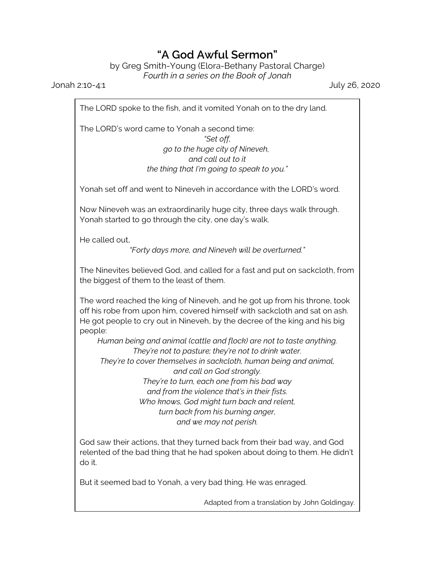## **"A God Awful Sermon"**

by Greg Smith-Young (Elora-Bethany Pastoral Charge) *Fourth in a series on the Book of Jonah*

Jonah 2:10-4:1 July 26, 2020

The LORD spoke to the fish, and it vomited Yonah on to the dry land.

The LORD's word came to Yonah a second time: *"Set off, go to the huge city of Nineveh, and call out to it the thing that I'm going to speak to you."*

Yonah set off and went to Nineveh in accordance with the LORD's word.

Now Nineveh was an extraordinarily huge city, three days walk through. Yonah started to go through the city, one day's walk.

He called out,

*"Forty days more, and Nineveh will be overturned."*

The Ninevites believed God, and called for a fast and put on sackcloth, from the biggest of them to the least of them.

The word reached the king of Nineveh, and he got up from his throne, took off his robe from upon him, covered himself with sackcloth and sat on ash. He got people to cry out in Nineveh, by the decree of the king and his big people:

*Human being and animal (cattle and flock) are not to taste anything. They're not to pasture; they're not to drink water.*

*They're to cover themselves in sackcloth, human being and animal, and call on God strongly. They're to turn, each one from his bad way*

*and from the violence that's in their fists. Who knows, God might turn back and relent, turn back from his burning anger, and we may not perish.*

God saw their actions, that they turned back from their bad way, and God relented of the bad thing that he had spoken about doing to them. He didn't do it.

But it seemed bad to Yonah, a very bad thing. He was enraged.

Adapted from a translation by John Goldingay.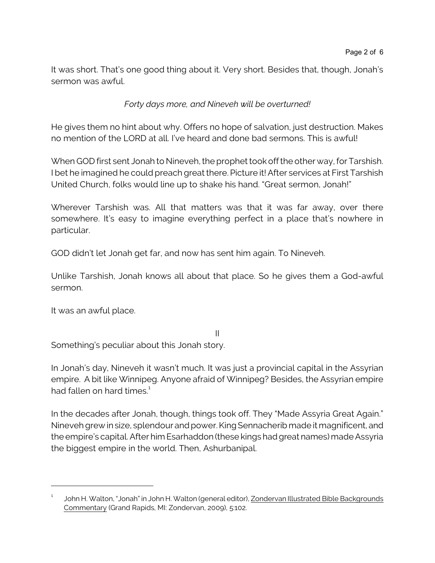It was short. That's one good thing about it. Very short. Besides that, though, Jonah's sermon was awful.

*Forty days more, and Nineveh will be overturned!*

He gives them no hint about why. Offers no hope of salvation, just destruction. Makes no mention of the LORD at all. I've heard and done bad sermons. This is awful!

When GOD first sent Jonah to Nineveh, the prophet took off the other way, for Tarshish. I bet he imagined he could preach great there. Picture it! After services at First Tarshish United Church, folks would line up to shake his hand. "Great sermon, Jonah!"

Wherever Tarshish was. All that matters was that it was far away, over there somewhere. It's easy to imagine everything perfect in a place that's nowhere in particular.

GOD didn't let Jonah get far, and now has sent him again. To Nineveh.

Unlike Tarshish, Jonah knows all about that place. So he gives them a God-awful sermon.

It was an awful place.

II Something's peculiar about this Jonah story.

In Jonah's day, Nineveh it wasn't much. It was just a provincial capital in the Assyrian empire. A bit like Winnipeg. Anyone afraid of Winnipeg? Besides, the Assyrian empire had fallen on hard times.<sup>1</sup>

In the decades after Jonah, though, things took off. They "Made Assyria Great Again." Nineveh grew in size, splendour and power. King Sennacherib made it magnificent, and the empire's capital. After him Esarhaddon (these kings had great names) made Assyria the biggest empire in the world. Then, Ashurbanipal.

<sup>1</sup> John H. Walton, "Jonah" in John H. Walton (general editor), Zondervan Illustrated Bible Backgrounds Commentary (Grand Rapids, MI: Zondervan, 2009), 5:102.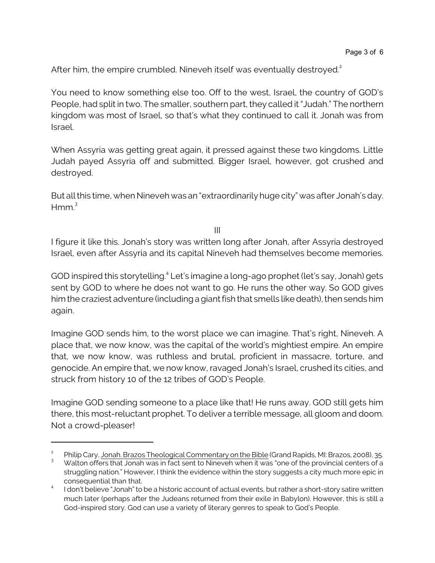After him, the empire crumbled. Nineveh itself was eventually destroyed.<sup>2</sup>

You need to know something else too. Off to the west, Israel, the country of GOD's People, had split in two. The smaller, southern part, they called it "Judah." The northern kingdom was most of Israel, so that's what they continued to call it. Jonah was from Israel.

When Assyria was getting great again, it pressed against these two kingdoms. Little Judah payed Assyria off and submitted. Bigger Israel, however, got crushed and destroyed.

But all this time, when Nineveh was an "extraordinarily huge city" was after Jonah's day.  $Hmm<sup>3</sup>$ 

III

I figure it like this. Jonah's story was written long after Jonah, after Assyria destroyed Israel, even after Assyria and its capital Nineveh had themselves become memories.

GOD inspired this storytelling.<sup>4</sup> Let's imagine a long-ago prophet (let's say, Jonah) gets sent by GOD to where he does not want to go. He runs the other way. So GOD gives him the craziest adventure (including a giant fish that smells like death), then sends him again.

Imagine GOD sends him, to the worst place we can imagine. That's right, Nineveh. A place that, we now know, was the capital of the world's mightiest empire. An empire that, we now know, was ruthless and brutal, proficient in massacre, torture, and genocide. An empire that, we now know, ravaged Jonah's Israel, crushed its cities, and struck from history 10 of the 12 tribes of GOD's People.

Imagine GOD sending someone to a place like that! He runs away. GOD still gets him there, this most-reluctant prophet. To deliver a terrible message, all gloom and doom. Not a crowd-pleaser!

<sup>2</sup> Philip Cary, Jonah. Brazos Theological Commentary on the Bible (Grand Rapids, MI: Brazos, 2008), 35.

<sup>3</sup> Walton offers that Jonah was in fact sent to Nineveh when it was "one of the provincial centers of a struggling nation." However, I think the evidence within the story suggests a city much more epic in consequential than that.

<sup>4</sup> I don't believe "Jonah" to be a historic account of actual events, but rather a short-story satire written much later (perhaps after the Judeans returned from their exile in Babylon). However, this is still a God-inspired story. God can use a variety of literary genres to speak to God's People.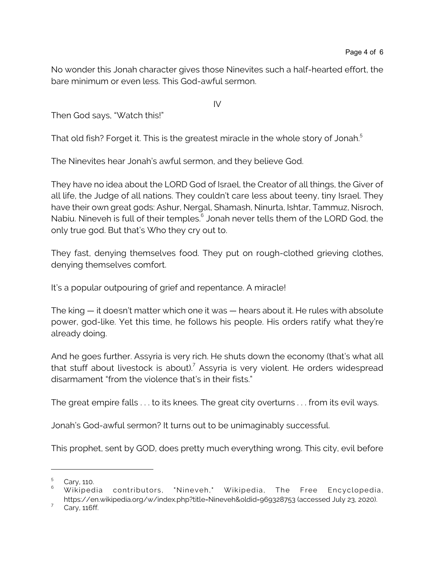No wonder this Jonah character gives those Ninevites such a half-hearted effort, the bare minimum or even less. This God-awful sermon.

IV

Then God says, "Watch this!"

That old fish? Forget it. This is the greatest miracle in the whole story of Jonah.<sup>5</sup>

The Ninevites hear Jonah's awful sermon, and they believe God.

They have no idea about the LORD God of Israel, the Creator of all things, the Giver of all life, the Judge of all nations. They couldn't care less about teeny, tiny Israel. They have their own great gods: Ashur, Nergal, Shamash, Ninurta, Ishtar, Tammuz, Nisroch, Nabiu. Nineveh is full of their temples. $^6$  Jonah never tells them of the LORD God, the only true god. But that's Who they cry out to.

They fast, denying themselves food. They put on rough-clothed grieving clothes, denying themselves comfort.

It's a popular outpouring of grief and repentance. A miracle!

The king — it doesn't matter which one it was — hears about it. He rules with absolute power, god-like. Yet this time, he follows his people. His orders ratify what they're already doing.

And he goes further. Assyria is very rich. He shuts down the economy (that's what all that stuff about livestock is about).<sup>7</sup> Assyria is very violent. He orders widespread disarmament "from the violence that's in their fists."

The great empire falls . . . to its knees. The great city overturns . . . from its evil ways.

Jonah's God-awful sermon? It turns out to be unimaginably successful.

This prophet, sent by GOD, does pretty much everything wrong. This city, evil before

<sup>5</sup> Cary, 110.

<sup>6</sup> Wikipedia contributors, "Nineveh," Wikipedia, The Free Encyclopedia, https://en.wikipedia.org/w/index.php?title=Nineveh&oldid=969328753 (accessed July 23, 2020).

<sup>7</sup> Cary, 116ff.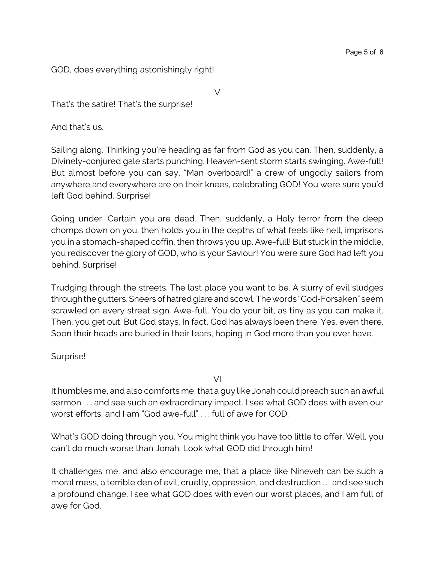GOD, does everything astonishingly right!

That's the satire! That's the surprise!

And that's us.

Sailing along. Thinking you're heading as far from God as you can. Then, suddenly, a Divinely-conjured gale starts punching. Heaven-sent storm starts swinging. Awe-full! But almost before you can say, "Man overboard!" a crew of ungodly sailors from anywhere and everywhere are on their knees, celebrating GOD! You were sure you'd left God behind. Surprise!

V

Going under. Certain you are dead. Then, suddenly, a Holy terror from the deep chomps down on you, then holds you in the depths of what feels like hell, imprisons you in a stomach-shaped coffin, then throws you up. Awe-full! But stuck in the middle, you rediscover the glory of GOD, who is your Saviour! You were sure God had left you behind. Surprise!

Trudging through the streets. The last place you want to be. A slurry of evil sludges through the gutters. Sneersofhatredglareandscowl. The words "God-Forsaken" seem scrawled on every street sign. Awe-full. You do your bit, as tiny as you can make it. Then, you get out. But God stays. In fact, God has always been there. Yes, even there. Soon their heads are buried in their tears, hoping in God more than you ever have.

Surprise!

VI

It humbles me, and also comforts me, that a guy like Jonah could preach such an awful sermon . . . and see such an extraordinary impact. I see what GOD does with even our worst efforts, and I am "God awe-full" . . . full of awe for GOD.

What's GOD doing through you. You might think you have too little to offer. Well, you can't do much worse than Jonah. Look what GOD did through him!

It challenges me, and also encourage me, that a place like Nineveh can be such a moral mess, a terrible den of evil, cruelty, oppression, and destruction . . . and see such a profound change. I see what GOD does with even our worst places, and I am full of awe for God.